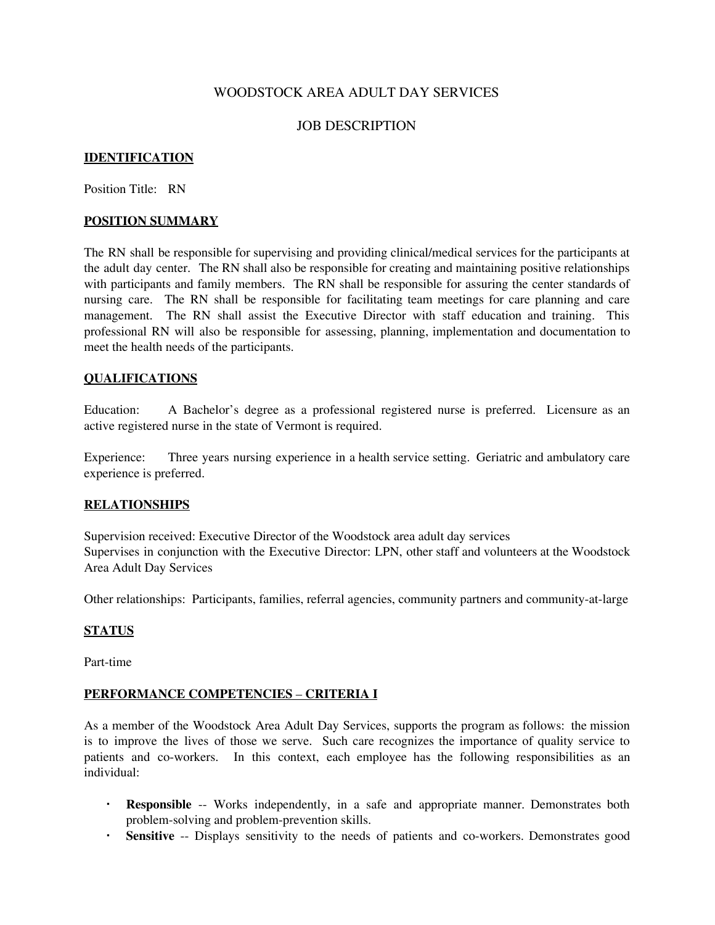# WOODSTOCK AREA ADULT DAY SERVICES

## JOB DESCRIPTION

## **IDENTIFICATION**

Position Title: RN

#### **POSITION SUMMARY**

The RN shall be responsible for supervising and providing clinical/medical services for the participants at the adult day center. The RN shall also be responsible for creating and maintaining positive relationships with participants and family members. The RN shall be responsible for assuring the center standards of nursing care. The RN shall be responsible for facilitating team meetings for care planning and care management. The RN shall assist the Executive Director with staff education and training. This professional RN will also be responsible for assessing, planning, implementation and documentation to meet the health needs of the participants.

#### **QUALIFICATIONS**

Education: A Bachelor's degree as a professional registered nurse is preferred. Licensure as an active registered nurse in the state of Vermont is required.

Experience: Three years nursing experience in a health service setting. Geriatric and ambulatory care experience is preferred.

## **RELATIONSHIPS**

Supervision received: Executive Director of the Woodstock area adult day services Supervises in conjunction with the Executive Director: LPN, other staff and volunteers at the Woodstock Area Adult Day Services

Other relationships: Participants, families, referral agencies, community partners and community-at-large

#### **STATUS**

Part-time

## **PERFORMANCE COMPETENCIES** – **CRITERIA I**

As a member of the Woodstock Area Adult Day Services, supports the program as follows: the mission is to improve the lives of those we serve. Such care recognizes the importance of quality service to patients and co-workers. In this context, each employee has the following responsibilities as an individual:

- **Responsible** -- Works independently, in a safe and appropriate manner. Demonstrates both problem-solving and problem-prevention skills.
- **Sensitive** -- Displays sensitivity to the needs of patients and co-workers. Demonstrates good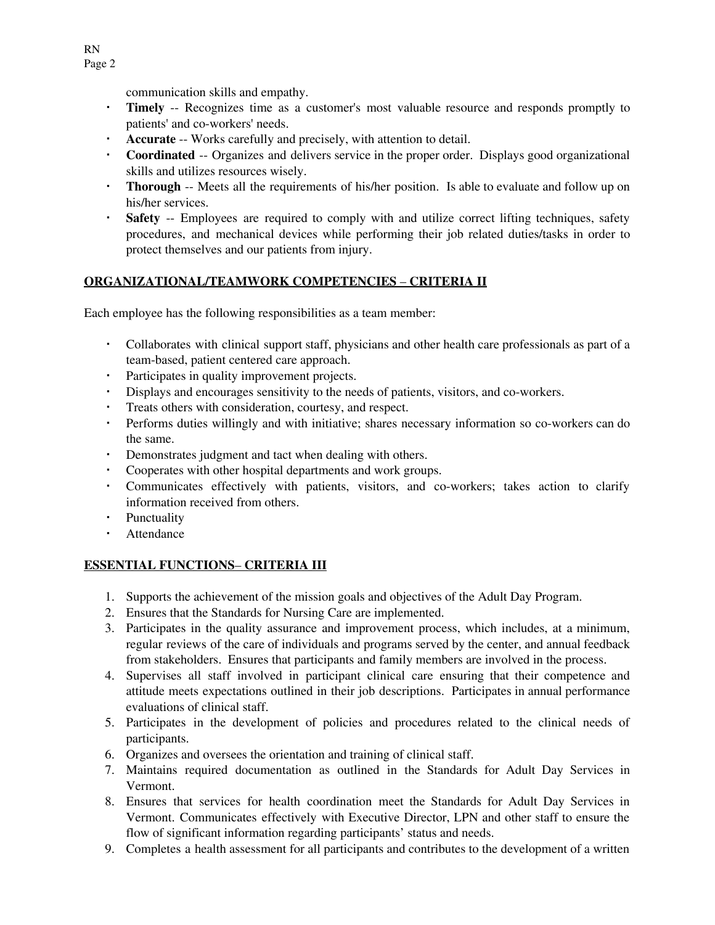communication skills and empathy.

- **Timely** -- Recognizes time as a customer's most valuable resource and responds promptly to patients' and co-workers' needs.
- **Accurate** -- Works carefully and precisely, with attention to detail.
- **Coordinated** -- Organizes and delivers service in the proper order. Displays good organizational skills and utilizes resources wisely.
- **Thorough** -- Meets all the requirements of his/her position. Is able to evaluate and follow up on his/her services.
- **Safety** -- Employees are required to comply with and utilize correct lifting techniques, safety procedures, and mechanical devices while performing their job related duties/tasks in order to protect themselves and our patients from injury.

# **ORGANIZATIONAL/TEAMWORK COMPETENCIES** – **CRITERIA II**

Each employee has the following responsibilities as a team member:

- Collaborates with clinical support staff, physicians and other health care professionals as part of a team-based, patient centered care approach.
- Participates in quality improvement projects.
- Displays and encourages sensitivity to the needs of patients, visitors, and co-workers.
- Treats others with consideration, courtesy, and respect.
- Performs duties willingly and with initiative; shares necessary information so co-workers can do the same.
- Demonstrates judgment and tact when dealing with others.
- Cooperates with other hospital departments and work groups.
- Communicates effectively with patients, visitors, and co-workers; takes action to clarify information received from others.
- Punctuality
- Attendance

# **ESSENTIAL FUNCTIONS**– **CRITERIA III**

- 1. Supports the achievement of the mission goals and objectives of the Adult Day Program.
- 2. Ensures that the Standards for Nursing Care are implemented.
- 3. Participates in the quality assurance and improvement process, which includes, at a minimum, regular reviews of the care of individuals and programs served by the center, and annual feedback from stakeholders. Ensures that participants and family members are involved in the process.
- 4. Supervises all staff involved in participant clinical care ensuring that their competence and attitude meets expectations outlined in their job descriptions. Participates in annual performance evaluations of clinical staff.
- 5. Participates in the development of policies and procedures related to the clinical needs of participants.
- 6. Organizes and oversees the orientation and training of clinical staff.
- 7. Maintains required documentation as outlined in the Standards for Adult Day Services in Vermont.
- 8. Ensures that services for health coordination meet the Standards for Adult Day Services in Vermont. Communicates effectively with Executive Director, LPN and other staff to ensure the flow of significant information regarding participants' status and needs.
- 9. Completes a health assessment for all participants and contributes to the development of a written

RN Page 2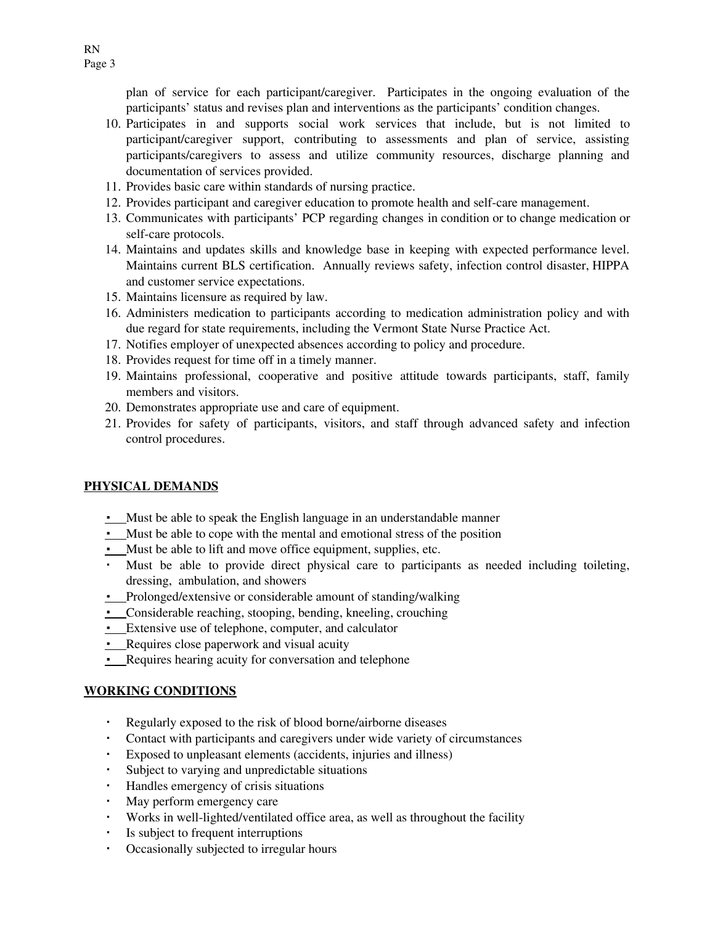plan of service for each participant/caregiver. Participates in the ongoing evaluation of the participants' status and revises plan and interventions as the participants' condition changes.

- 10. Participates in and supports social work services that include, but is not limited to participant/caregiver support, contributing to assessments and plan of service, assisting participants/caregivers to assess and utilize community resources, discharge planning and documentation of services provided.
- 11. Provides basic care within standards of nursing practice.
- 12. Provides participant and caregiver education to promote health and self-care management.
- 13. Communicates with participants' PCP regarding changes in condition or to change medication or self-care protocols.
- 14. Maintains and updates skills and knowledge base in keeping with expected performance level. Maintains current BLS certification. Annually reviews safety, infection control disaster, HIPPA and customer service expectations.
- 15. Maintains licensure as required by law.
- 16. Administers medication to participants according to medication administration policy and with due regard for state requirements, including the Vermont State Nurse Practice Act.
- 17. Notifies employer of unexpected absences according to policy and procedure.
- 18. Provides request for time off in a timely manner.
- 19. Maintains professional, cooperative and positive attitude towards participants, staff, family members and visitors.
- 20. Demonstrates appropriate use and care of equipment.
- 21. Provides for safety of participants, visitors, and staff through advanced safety and infection control procedures.

## **PHYSICAL DEMANDS**

- Must be able to speak the English language in an understandable manner
- Must be able to cope with the mental and emotional stress of the position
- Must be able to lift and move office equipment, supplies, etc.
- Must be able to provide direct physical care to participants as needed including toileting, dressing, ambulation, and showers
- Prolonged/extensive or considerable amount of standing/walking
- Considerable reaching, stooping, bending, kneeling, crouching
- Extensive use of telephone, computer, and calculator
- Requires close paperwork and visual acuity
- **Requires hearing acuity for conversation and telephone**

## **WORKING CONDITIONS**

- Regularly exposed to the risk of blood borne/airborne diseases
- Contact with participants and caregivers under wide variety of circumstances
- Exposed to unpleasant elements (accidents, injuries and illness)
- Subject to varying and unpredictable situations
- Handles emergency of crisis situations
- May perform emergency care
- Works in well-lighted/ventilated office area, as well as throughout the facility
- Is subject to frequent interruptions
- Occasionally subjected to irregular hours